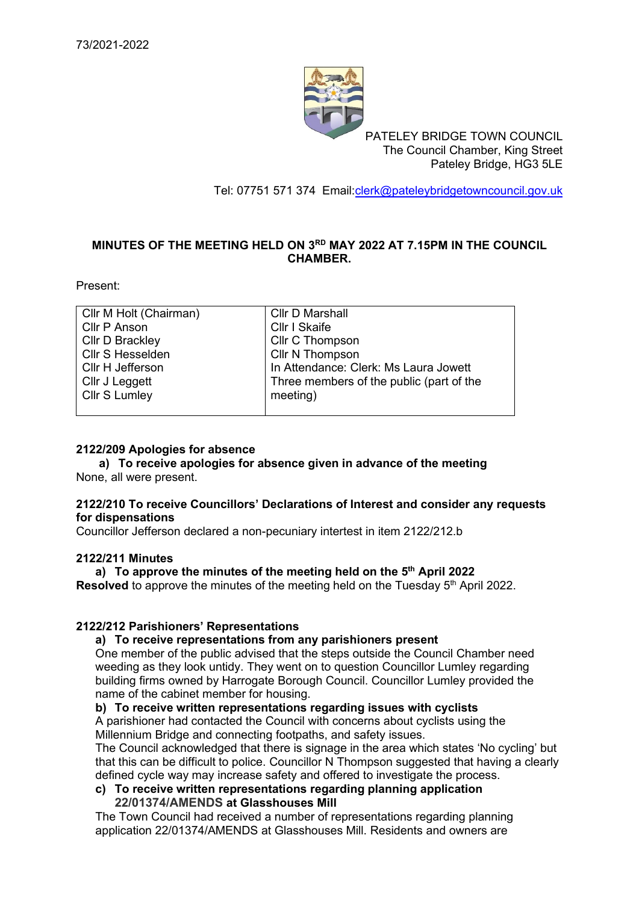

PATELEY BRIDGE TOWN COUNCIL The Council Chamber, King Street Pateley Bridge, HG3 5LE

Tel: 07751 571 374 Email[:clerk@pateleybridgetowncouncil.gov.uk](mailto:clerk@pateleybridgetowncouncil.gov.uk)

### **MINUTES OF THE MEETING HELD ON 3 RD MAY 2022 AT 7.15PM IN THE COUNCIL CHAMBER.**

Present:

| Cllr M Holt (Chairman) | <b>Cllr D Marshall</b>                   |
|------------------------|------------------------------------------|
| Cllr P Anson           | Cllr I Skaife                            |
| <b>Cllr D Brackley</b> | Cllr C Thompson                          |
| Cllr S Hesselden       | Cllr N Thompson                          |
| Cllr H Jefferson       | In Attendance: Clerk: Ms Laura Jowett    |
| Cllr J Leggett         | Three members of the public (part of the |
| Cllr S Lumley          | meeting)                                 |
|                        |                                          |

#### **2122/209 Apologies for absence**

**a) To receive apologies for absence given in advance of the meeting** None, all were present.

### **2122/210 To receive Councillors' Declarations of Interest and consider any requests for dispensations**

Councillor Jefferson declared a non-pecuniary intertest in item 2122/212.b

#### **2122/211 Minutes**

### **a) To approve the minutes of the meeting held on the 5 th April 2022**

**Resolved** to approve the minutes of the meeting held on the Tuesday 5<sup>th</sup> April 2022.

### **2122/212 Parishioners' Representations**

### **a) To receive representations from any parishioners present**

One member of the public advised that the steps outside the Council Chamber need weeding as they look untidy. They went on to question Councillor Lumley regarding building firms owned by Harrogate Borough Council. Councillor Lumley provided the name of the cabinet member for housing.

#### **b) To receive written representations regarding issues with cyclists**

A parishioner had contacted the Council with concerns about cyclists using the Millennium Bridge and connecting footpaths, and safety issues.

The Council acknowledged that there is signage in the area which states 'No cycling' but that this can be difficult to police. Councillor N Thompson suggested that having a clearly defined cycle way may increase safety and offered to investigate the process.

#### **c) To receive written representations regarding planning application 22/01374/AMENDS at Glasshouses Mill**

The Town Council had received a number of representations regarding planning application 22/01374/AMENDS at Glasshouses Mill. Residents and owners are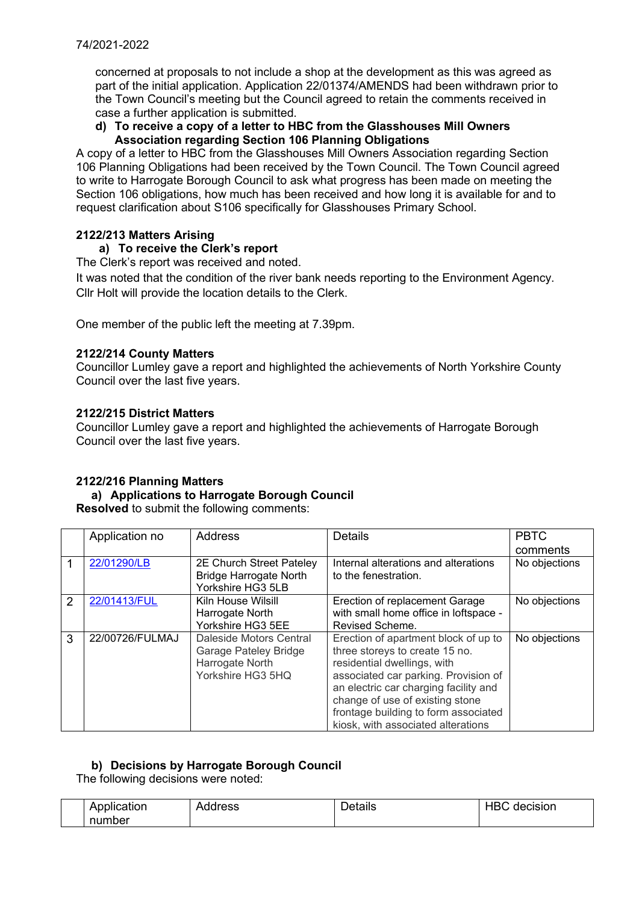concerned at proposals to not include a shop at the development as this was agreed as part of the initial application. Application 22/01374/AMENDS had been withdrawn prior to the Town Council's meeting but the Council agreed to retain the comments received in case a further application is submitted.

### **d) To receive a copy of a letter to HBC from the Glasshouses Mill Owners Association regarding Section 106 Planning Obligations**

A copy of a letter to HBC from the Glasshouses Mill Owners Association regarding Section 106 Planning Obligations had been received by the Town Council. The Town Council agreed to write to Harrogate Borough Council to ask what progress has been made on meeting the Section 106 obligations, how much has been received and how long it is available for and to request clarification about S106 specifically for Glasshouses Primary School.

# **2122/213 Matters Arising**

# **a) To receive the Clerk's report**

The Clerk's report was received and noted.

It was noted that the condition of the river bank needs reporting to the Environment Agency. Cllr Holt will provide the location details to the Clerk.

One member of the public left the meeting at 7.39pm.

### **2122/214 County Matters**

Councillor Lumley gave a report and highlighted the achievements of North Yorkshire County Council over the last five years.

### **2122/215 District Matters**

Councillor Lumley gave a report and highlighted the achievements of Harrogate Borough Council over the last five years.

# **2122/216 Planning Matters**

### **a) Applications to Harrogate Borough Council**

**Resolved** to submit the following comments:

|   | Application no  | <b>Address</b>                | <b>Details</b>                        | <b>PBTC</b>   |
|---|-----------------|-------------------------------|---------------------------------------|---------------|
|   |                 |                               |                                       | comments      |
|   | 22/01290/LB     | 2E Church Street Pateley      | Internal alterations and alterations  | No objections |
|   |                 | <b>Bridge Harrogate North</b> | to the fenestration.                  |               |
|   |                 | Yorkshire HG3 5LB             |                                       |               |
| 2 | 22/01413/FUL    | Kiln House Wilsill            | Erection of replacement Garage        | No objections |
|   |                 | Harrogate North               | with small home office in loftspace - |               |
|   |                 | Yorkshire HG3 5EE             | Revised Scheme.                       |               |
| 3 | 22/00726/FULMAJ | Daleside Motors Central       | Erection of apartment block of up to  | No objections |
|   |                 | Garage Pateley Bridge         | three storeys to create 15 no.        |               |
|   |                 | Harrogate North               | residential dwellings, with           |               |
|   |                 | Yorkshire HG3 5HQ             | associated car parking. Provision of  |               |
|   |                 |                               | an electric car charging facility and |               |
|   |                 |                               | change of use of existing stone       |               |
|   |                 |                               | frontage building to form associated  |               |
|   |                 |                               | kiosk, with associated alterations    |               |

# **b) Decisions by Harrogate Borough Council**

The following decisions were noted:

| $\cdots$<br>Application | Address | etails | חו<br><b>cision</b><br>HB'<br>neo |
|-------------------------|---------|--------|-----------------------------------|
| number                  |         |        |                                   |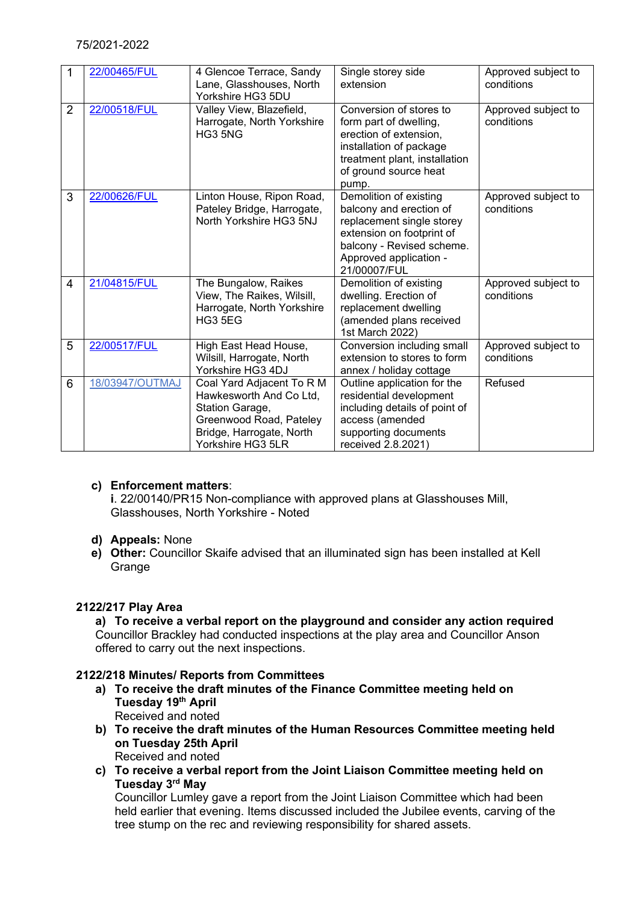# 75/2021-2022

|                | 22/00465/FUL    | 4 Glencoe Terrace, Sandy<br>Lane, Glasshouses, North<br>Yorkshire HG3 5DU                                                                           | Single storey side<br>extension                                                                                                                                                    | Approved subject to<br>conditions |
|----------------|-----------------|-----------------------------------------------------------------------------------------------------------------------------------------------------|------------------------------------------------------------------------------------------------------------------------------------------------------------------------------------|-----------------------------------|
| $\overline{2}$ | 22/00518/FUL    | Valley View, Blazefield,<br>Harrogate, North Yorkshire<br>HG3 5NG                                                                                   | Conversion of stores to<br>form part of dwelling,<br>erection of extension,<br>installation of package<br>treatment plant, installation<br>of ground source heat<br>pump.          | Approved subject to<br>conditions |
| 3              | 22/00626/FUL    | Linton House, Ripon Road,<br>Pateley Bridge, Harrogate,<br>North Yorkshire HG3 5NJ                                                                  | Demolition of existing<br>balcony and erection of<br>replacement single storey<br>extension on footprint of<br>balcony - Revised scheme.<br>Approved application -<br>21/00007/FUL | Approved subject to<br>conditions |
| $\overline{4}$ | 21/04815/FUL    | The Bungalow, Raikes<br>View, The Raikes, Wilsill,<br>Harrogate, North Yorkshire<br>HG3 5EG                                                         | Demolition of existing<br>dwelling. Erection of<br>replacement dwelling<br>(amended plans received<br>1st March 2022)                                                              | Approved subject to<br>conditions |
| 5              | 22/00517/FUL    | High East Head House,<br>Wilsill, Harrogate, North<br>Yorkshire HG3 4DJ                                                                             | Conversion including small<br>extension to stores to form<br>annex / holiday cottage                                                                                               | Approved subject to<br>conditions |
| 6              | 18/03947/OUTMAJ | Coal Yard Adjacent To R M<br>Hawkesworth And Co Ltd,<br>Station Garage,<br>Greenwood Road, Pateley<br>Bridge, Harrogate, North<br>Yorkshire HG3 5LR | Outline application for the<br>residential development<br>including details of point of<br>access (amended<br>supporting documents<br>received 2.8.2021)                           | Refused                           |

# **c) Enforcement matters**:

**i**. 22/00140/PR15 Non-compliance with approved plans at Glasshouses Mill, Glasshouses, North Yorkshire - Noted

- **d) Appeals:** None
- **e) Other:** Councillor Skaife advised that an illuminated sign has been installed at Kell **Grange**

# **2122/217 Play Area**

**a) To receive a verbal report on the playground and consider any action required** Councillor Brackley had conducted inspections at the play area and Councillor Anson offered to carry out the next inspections.

# **2122/218 Minutes/ Reports from Committees**

- **a) To receive the draft minutes of the Finance Committee meeting held on Tuesday 19th April** Received and noted
- **b) To receive the draft minutes of the Human Resources Committee meeting held on Tuesday 25th April** Received and noted
- **c) To receive a verbal report from the Joint Liaison Committee meeting held on Tuesday 3rd May**

Councillor Lumley gave a report from the Joint Liaison Committee which had been held earlier that evening. Items discussed included the Jubilee events, carving of the tree stump on the rec and reviewing responsibility for shared assets.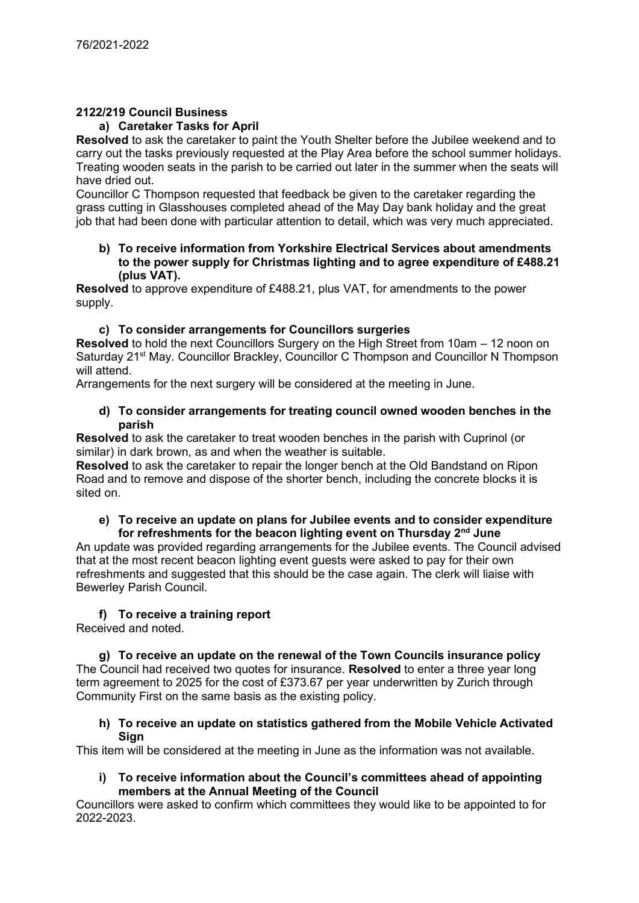# **2122/219 Council Business**

### **a) Caretaker Tasks for April**

**Resolved** to ask the caretaker to paint the Youth Shelter before the Jubilee weekend and to carry out the tasks previously requested at the Play Area before the school summer holidays. Treating wooden seats in the parish to be carried out later in the summer when the seats will have dried out.

Councillor C Thompson requested that feedback be given to the caretaker regarding the grass cutting in Glasshouses completed ahead of the May Day bank holiday and the great job that had been done with particular attention to detail, which was very much appreciated.

#### **b) To receive information from Yorkshire Electrical Services about amendments to the power supply for Christmas lighting and to agree expenditure of £488.21 (plus VAT).**

**Resolved** to approve expenditure of £488.21, plus VAT, for amendments to the power supply.

### **c) To consider arrangements for Councillors surgeries**

**Resolved** to hold the next Councillors Surgery on the High Street from 10am – 12 noon on Saturday 21<sup>st</sup> May. Councillor Brackley, Councillor C Thompson and Councillor N Thompson will attend.

Arrangements for the next surgery will be considered at the meeting in June.

#### **d) To consider arrangements for treating council owned wooden benches in the parish**

**Resolved** to ask the caretaker to treat wooden benches in the parish with Cuprinol (or similar) in dark brown, as and when the weather is suitable.

**Resolved** to ask the caretaker to repair the longer bench at the Old Bandstand on Ripon Road and to remove and dispose of the shorter bench, including the concrete blocks it is sited on.

#### **e) To receive an update on plans for Jubilee events and to consider expenditure for refreshments for the beacon lighting event on Thursday 2nd June**

An update was provided regarding arrangements for the Jubilee events. The Council advised that at the most recent beacon lighting event guests were asked to pay for their own refreshments and suggested that this should be the case again. The clerk will liaise with Bewerley Parish Council.

# **f) To receive a training report**

Received and noted.

**g) To receive an update on the renewal of the Town Councils insurance policy** The Council had received two quotes for insurance. **Resolved** to enter a three year long term agreement to 2025 for the cost of £373.67 per year underwritten by Zurich through Community First on the same basis as the existing policy.

### **h) To receive an update on statistics gathered from the Mobile Vehicle Activated Sign**

This item will be considered at the meeting in June as the information was not available.

**i) To receive information about the Council's committees ahead of appointing members at the Annual Meeting of the Council**

Councillors were asked to confirm which committees they would like to be appointed to for 2022-2023.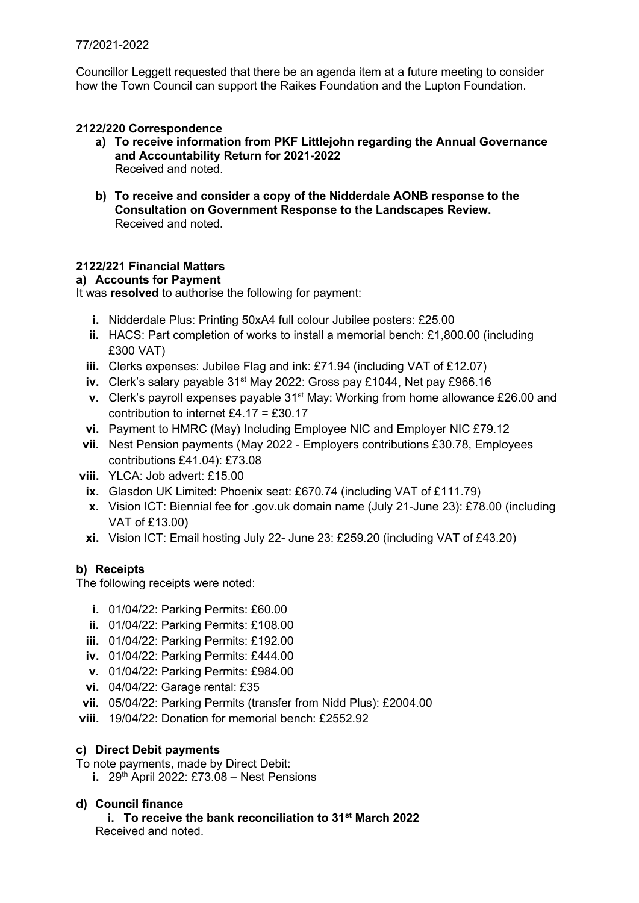Councillor Leggett requested that there be an agenda item at a future meeting to consider how the Town Council can support the Raikes Foundation and the Lupton Foundation.

# **2122/220 Correspondence**

- **a) To receive information from PKF Littlejohn regarding the Annual Governance and Accountability Return for 2021-2022** Received and noted.
- **b) To receive and consider a copy of the Nidderdale AONB response to the Consultation on Government Response to the Landscapes Review.** Received and noted.

# **2122/221 Financial Matters**

### **a) Accounts for Payment**

It was **resolved** to authorise the following for payment:

- **i.** Nidderdale Plus: Printing 50xA4 full colour Jubilee posters: £25.00
- **ii.** HACS: Part completion of works to install a memorial bench: £1,800.00 (including £300 VAT)
- **iii.** Clerks expenses: Jubilee Flag and ink: £71.94 (including VAT of £12.07)
- **iv.** Clerk's salary payable 31<sup>st</sup> May 2022: Gross pay £1044, Net pay £966,16
- **v.** Clerk's payroll expenses payable 31<sup>st</sup> May: Working from home allowance £26.00 and contribution to internet £4.17 = £30.17
- **vi.** Payment to HMRC (May) Including Employee NIC and Employer NIC £79.12
- **vii.** Nest Pension payments (May 2022 Employers contributions £30.78, Employees contributions £41.04): £73.08
- **viii.** YLCA: Job advert: £15.00
	- **ix.** Glasdon UK Limited: Phoenix seat: £670.74 (including VAT of £111.79)
	- **x.** Vision ICT: Biennial fee for .gov.uk domain name (July 21-June 23): £78.00 (including VAT of £13.00)
	- **xi.** Vision ICT: Email hosting July 22- June 23: £259.20 (including VAT of £43.20)

# **b) Receipts**

The following receipts were noted:

- **i.** 01/04/22: Parking Permits: £60.00
- **ii.** 01/04/22: Parking Permits: £108.00
- **iii.** 01/04/22: Parking Permits: £192.00
- **iv.** 01/04/22: Parking Permits: £444.00
- **v.** 01/04/22: Parking Permits: £984.00
- **vi.** 04/04/22: Garage rental: £35
- **vii.** 05/04/22: Parking Permits (transfer from Nidd Plus): £2004.00
- **viii.** 19/04/22: Donation for memorial bench: £2552.92

### **c) Direct Debit payments**

- To note payments, made by Direct Debit:
	- **i.** 29<sup>th</sup> April 2022: £73.08 Nest Pensions

# **d) Council finance**

**i. To receive the bank reconciliation to 31st March 2022** Received and noted.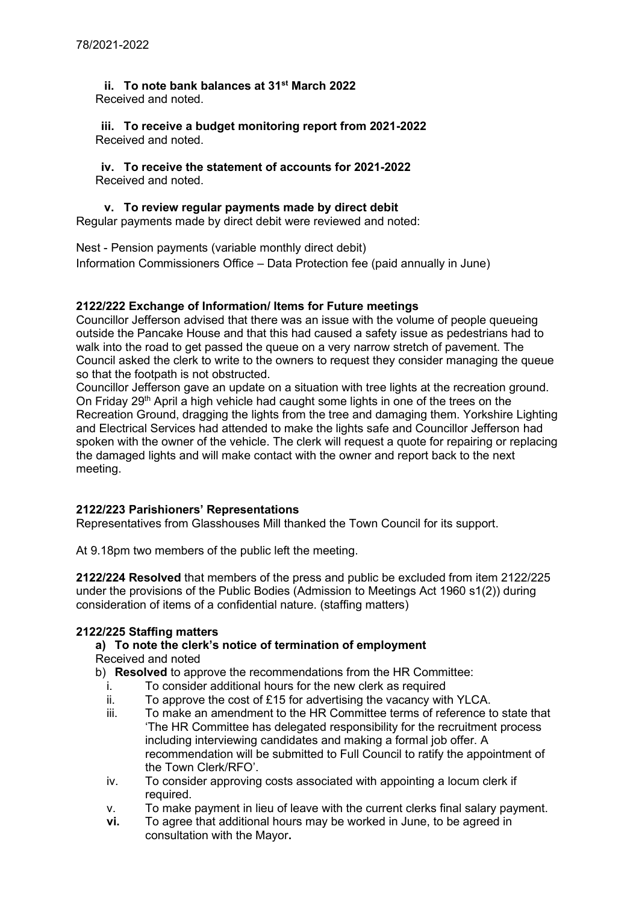**ii. To note bank balances at 31st March 2022** Received and noted.

**iii. To receive a budget monitoring report from 2021-2022** Received and noted.

**iv. To receive the statement of accounts for 2021-2022** Received and noted.

# **v. To review regular payments made by direct debit**

Regular payments made by direct debit were reviewed and noted:

Nest - Pension payments (variable monthly direct debit) Information Commissioners Office – Data Protection fee (paid annually in June)

# **2122/222 Exchange of Information/ Items for Future meetings**

Councillor Jefferson advised that there was an issue with the volume of people queueing outside the Pancake House and that this had caused a safety issue as pedestrians had to walk into the road to get passed the queue on a very narrow stretch of pavement. The Council asked the clerk to write to the owners to request they consider managing the queue so that the footpath is not obstructed.

Councillor Jefferson gave an update on a situation with tree lights at the recreation ground. On Friday 29<sup>th</sup> April a high vehicle had caught some lights in one of the trees on the Recreation Ground, dragging the lights from the tree and damaging them. Yorkshire Lighting and Electrical Services had attended to make the lights safe and Councillor Jefferson had spoken with the owner of the vehicle. The clerk will request a quote for repairing or replacing the damaged lights and will make contact with the owner and report back to the next meeting.

### **2122/223 Parishioners' Representations**

Representatives from Glasshouses Mill thanked the Town Council for its support.

At 9.18pm two members of the public left the meeting.

**2122/224 Resolved** that members of the press and public be excluded from item 2122/225 under the provisions of the Public Bodies (Admission to Meetings Act 1960 s1(2)) during consideration of items of a confidential nature. (staffing matters)

# **2122/225 Staffing matters**

# **a) To note the clerk's notice of termination of employment**

Received and noted

- b) **Resolved** to approve the recommendations from the HR Committee:
	- i. To consider additional hours for the new clerk as required
	- ii. To approve the cost of £15 for advertising the vacancy with YLCA.
	- iii. To make an amendment to the HR Committee terms of reference to state that 'The HR Committee has delegated responsibility for the recruitment process including interviewing candidates and making a formal job offer. A recommendation will be submitted to Full Council to ratify the appointment of the Town Clerk/RFO'.
	- iv. To consider approving costs associated with appointing a locum clerk if required.
	- v. To make payment in lieu of leave with the current clerks final salary payment.
	- **vi.** To agree that additional hours may be worked in June, to be agreed in consultation with the Mayor**.**